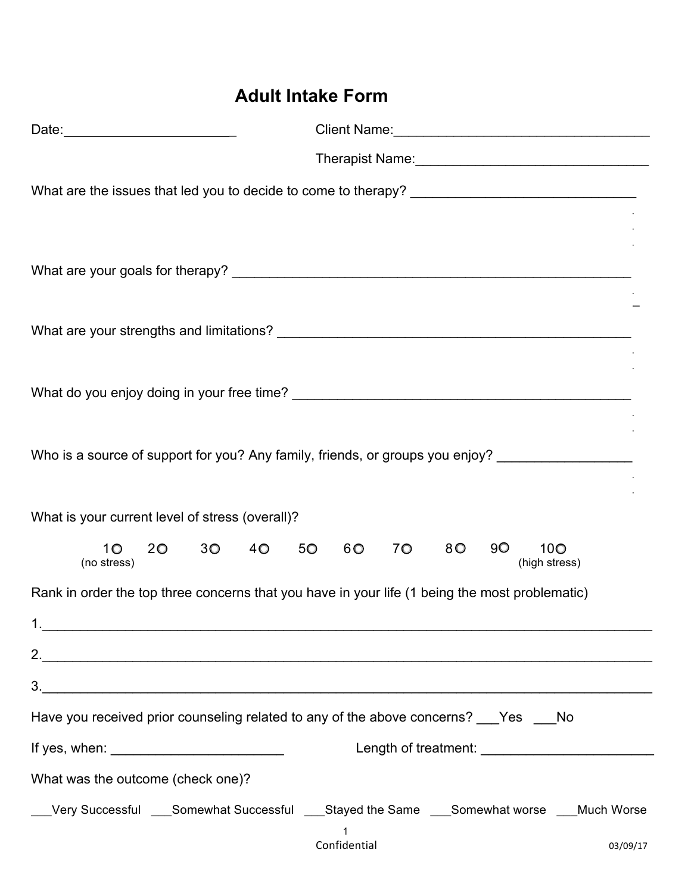## **Adult Intake Form**

|                                   | Who is a source of support for you? Any family, friends, or groups you enjoy? ______________________        |
|-----------------------------------|-------------------------------------------------------------------------------------------------------------|
|                                   |                                                                                                             |
|                                   | What is your current level of stress (overall)?                                                             |
| 10 <sup>°</sup><br>(no stress)    | 3 <sup>o</sup><br>5 <sup>o</sup><br>8 O<br>90<br>10 <sup>o</sup><br>20 a<br>40<br>60<br>70<br>(high stress) |
|                                   | Rank in order the top three concerns that you have in your life (1 being the most problematic)              |
| 1.                                |                                                                                                             |
|                                   |                                                                                                             |
|                                   | 3.<br>Have you received prior counseling related to any of the above concerns? ___Yes ___No                 |
|                                   |                                                                                                             |
|                                   | If yes, when: $\sqrt{2\pi}$                                                                                 |
| What was the outcome (check one)? |                                                                                                             |
|                                   | __Very Successful ___Somewhat Successful ___Stayed the Same ___Somewhat worse ___Much Worse                 |
|                                   | 1<br>Confidential<br>03/09/17                                                                               |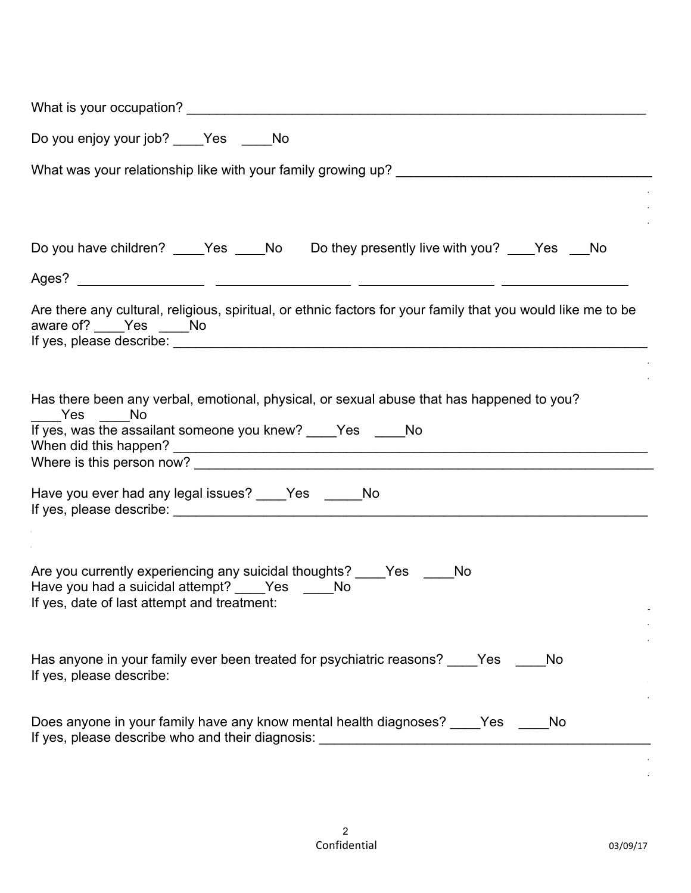| Do you enjoy your job? ____Yes _____No                                                                                                                                     |
|----------------------------------------------------------------------------------------------------------------------------------------------------------------------------|
| What was your relationship like with your family growing up? ___________________                                                                                           |
| Do you have children? _____Yes _____No Do they presently live with you? ____Yes ___No                                                                                      |
|                                                                                                                                                                            |
| Are there any cultural, religious, spiritual, or ethnic factors for your family that you would like me to be<br>aware of? ____ Yes ___ No                                  |
| Has there been any verbal, emotional, physical, or sexual abuse that has happened to you?<br>Yes ______No<br>If yes, was the assailant someone you knew? _____Yes ______No |
| Have you ever had any legal issues? ____Yes _____No                                                                                                                        |
| Are you currently experiencing any suicidal thoughts? Yes<br>No<br>Have you had a suicidal attempt? ____Yes _____No<br>If yes, date of last attempt and treatment:         |
| Has anyone in your family ever been treated for psychiatric reasons? Yes<br>No.<br>If yes, please describe:                                                                |
| Does anyone in your family have any know mental health diagnoses? Yes<br>No.                                                                                               |

 $\mathcal{L}_\mathcal{L} = \mathcal{L}_\mathcal{L} = \mathcal{L}_\mathcal{L} = \mathcal{L}_\mathcal{L} = \mathcal{L}_\mathcal{L} = \mathcal{L}_\mathcal{L} = \mathcal{L}_\mathcal{L} = \mathcal{L}_\mathcal{L} = \mathcal{L}_\mathcal{L} = \mathcal{L}_\mathcal{L} = \mathcal{L}_\mathcal{L} = \mathcal{L}_\mathcal{L} = \mathcal{L}_\mathcal{L} = \mathcal{L}_\mathcal{L} = \mathcal{L}_\mathcal{L} = \mathcal{L}_\mathcal{L} = \mathcal{L}_\mathcal{L}$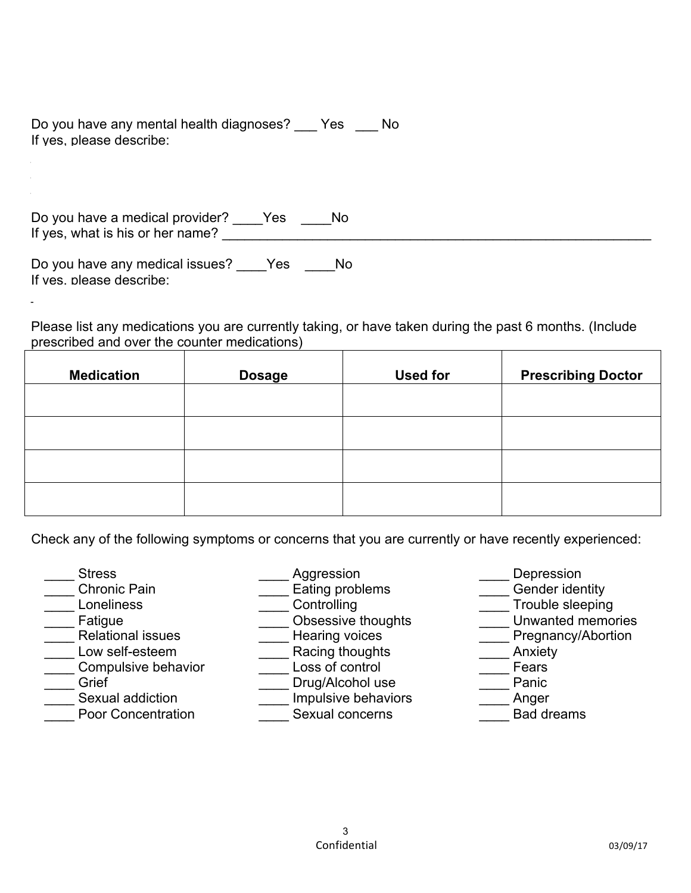Do you have any mental health diagnoses? \_\_\_ Yes \_\_\_ No If yes, please describe:

Do you have a medical provider? \_\_\_\_Yes \_\_\_\_No If yes, what is his or her name?

Do you have any medical issues? Yes No If yes, please describe:

Please list any medications you are currently taking, or have taken during the past 6 months. (Include prescribed and over the counter medications)

 $\mathcal{L}_\text{max}$  and the contribution of the contribution of the contribution of the contribution of the contribution of

| <b>Medication</b> | <b>Dosage</b> | <b>Used for</b> | <b>Prescribing Doctor</b> |
|-------------------|---------------|-----------------|---------------------------|
|                   |               |                 |                           |
|                   |               |                 |                           |
|                   |               |                 |                           |
|                   |               |                 |                           |

Check any of the following symptoms or concerns that you are currently or have recently experienced:

- \_\_\_\_ Stress Chronic Pain
- \_\_\_\_ Loneliness
- **\_\_\_** Fatigue
- \_\_\_\_ Relational issues
- \_\_\_\_ Low self-esteem
- \_\_\_\_ Compulsive behavior
- $\_$  Grief
- Sexual addiction
- Poor Concentration
- Aggression
- **Eating problems**
- \_\_\_\_ Controlling
- **\_\_\_** Obsessive thoughts
- <sup>----</sup>-Hearing voices
- **Example 2** Racing thoughts
- \_\_\_\_ Loss of control
	- Drug/Alcohol use
	- Impulsive behaviors
	- Sexual concerns
- **Depression** Gender identity
- $\equiv$ Trouble sleeping
- **The Unwanted memories**
- **The Pregnancy/Abortion**
- \_\_ Anxiety
- \_\_\_\_ Fears
- **Panic**
- Anger
- \_\_\_\_ Bad dreams